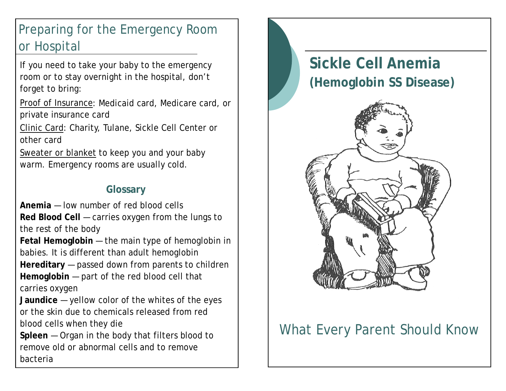### Preparing for the Emergency Room or Hospital

If you need to take your baby to the emergency room or to stay overnight in the hospital, don't forget to bring:

Proof of Insurance: Medicaid card, Medicare card, or private insurance card

Clinic Card: Charity, Tulane, Sickle Cell Center or other card

Sweater or blanket to keep you and your baby warm. Emergency rooms are usually cold.

#### **Glossary**

**Anemia** — low number of red blood cells

**Red Blood Cell** — carries oxygen from the lungs to the rest of the body

**Fetal Hemoglobin** — the main type of hemoglobin in babies. It is different than adult hemoglobin

**Hereditary** — passed down from parents to children **Hemoglobin** — part of the red blood cell that carries oxygen

**Jaundice** — yellow color of the whites of the eyes or the skin due to chemicals released from red blood cells when they die

**Spleen** — Organ in the body that filters blood to remove old or abnormal cells and to remove bacteria

# **Sickle Cell Anemia (Hemoglobin SS Disease)**



# What Every Parent Should Know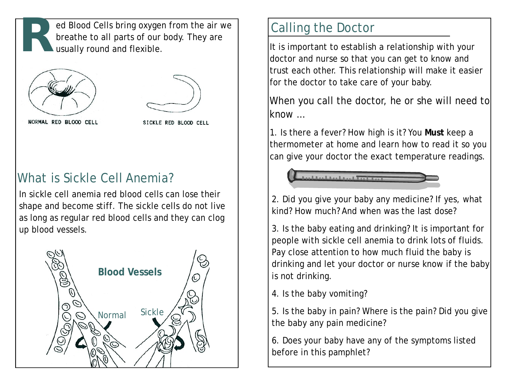**R**ed Blood Cells bring oxygen from the air we breathe to all parts of our body. They are usually round and flexible.





NORMAL RED BLOOD CELL

SICKLE RED BLOOD CELL

# What is Sickle Cell Anemia?

In sickle cell anemia red blood cells can lose their shape and become stiff. The sickle cells do not live as long as regular red blood cells and they can clog up blood vessels.



### Calling the Doctor

It is important to establish a relationship with your doctor and nurse so that you can get to know and trust each other. This relationship will make it easier for the doctor to take care of your baby.

When you call the doctor, he or she will need to know …

1. Is there a fever? How high is it? You **Must** keep a thermometer at home and learn how to read it so you can give your doctor the exact temperature readings.



2. Did you give your baby any medicine? If yes, what kind? How much? And when was the last dose?

3. Is the baby eating and drinking? It is important for people with sickle cell anemia to drink lots of fluids. Pay close attention to how much fluid the baby is drinking and let your doctor or nurse know if the baby is not drinking.

4. Is the baby vomiting?

5. Is the baby in pain? Where is the pain? Did you give the baby any pain medicine?

6. Does your baby have any of the symptoms listed before in this pamphlet?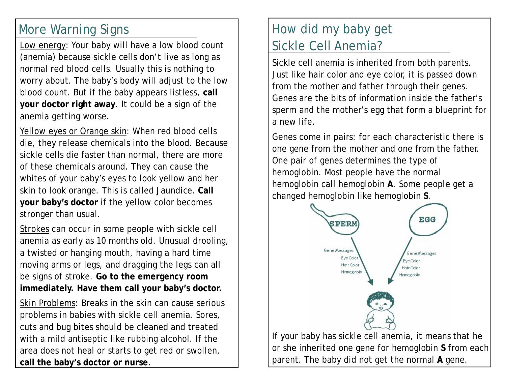#### More Warning Signs

Low energy: Your baby will have a low blood count (anemia) because sickle cells don't live as long as normal red blood cells. Usually this is nothing to worry about. The baby's body will adjust to the low blood count. But if the baby appears listless, **call your doctor right away**. It could be a sign of the anemia getting worse.

Yellow eyes or Orange skin: When red blood cells die, they release chemicals into the blood. Because sickle cells die faster than normal, there are more of these chemicals around. They can cause the whites of your baby's eyes to look yellow and her skin to look orange. This is called *Jaundice*. **Call your baby's doctor** if the yellow color becomes stronger than usual.

Strokes can occur in some people with sickle cell anemia as early as 10 months old. Unusual drooling, a twisted or hanging mouth, having a hard time moving arms or legs, and dragging the legs can all be signs of stroke. **Go to the emergency room immediately. Have them call your baby's doctor.**

Skin Problems: Breaks in the skin can cause serious problems in babies with sickle cell anemia. Sores, cuts and bug bites should be cleaned and treated with a mild antiseptic like rubbing alcohol. If the area does not heal or starts to get red or swollen, **call the baby's doctor or nurse.**

### How did my baby get Sickle Cell Anemia?

Sickle cell anemia is inherited from both parents. Just like hair color and eye color, it is passed down from the mother and father through their genes. Genes are the bits of information inside the father's sperm and the mother's egg that form a blueprint for a new life.

Genes come in pairs: for each characteristic there is one gene from the mother and one from the father. One pair of genes determines the type of hemoglobin. Most people have the normal hemoglobin call hemoglobin **A**. Some people get a changed hemoglobin like hemoglobin **S**.



or she inherited one gene for hemoglobin **S** from each parent. The baby did not get the normal **A** gene.